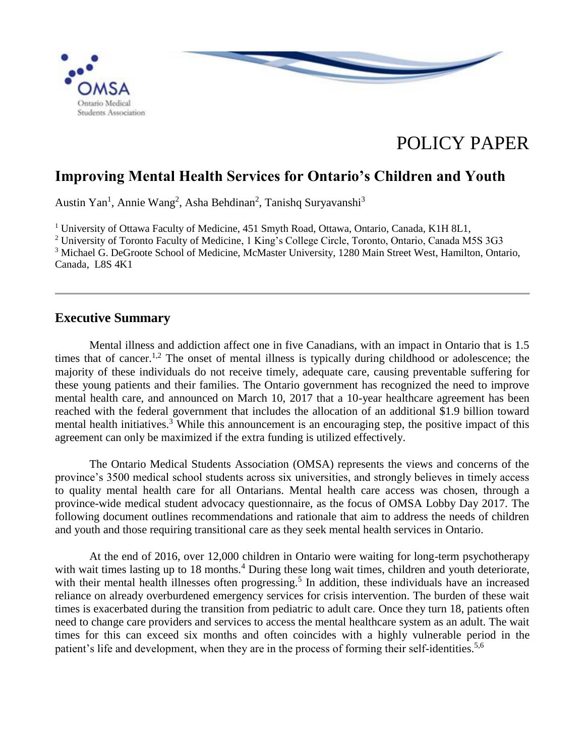

# POLICY PAPER

# **Improving Mental Health Services for Ontario's Children and Youth**

Austin Yan<sup>1</sup>, Annie Wang<sup>2</sup>, Asha Behdinan<sup>2</sup>, Tanishq Suryavanshi<sup>3</sup>

<sup>1</sup> University of Ottawa Faculty of Medicine, 451 Smyth Road, Ottawa, Ontario, Canada, K1H 8L1,

<sup>2</sup> University of Toronto Faculty of Medicine, 1 King's College Circle, Toronto, Ontario, Canada M5S 3G3 <sup>3</sup> Michael G. DeGroote School of Medicine, McMaster University, 1280 Main Street West, Hamilton, Ontario, Canada, L8S 4K1

## **Executive Summary**

Mental illness and addiction affect one in five Canadians, with an impact in Ontario that is 1.5 times that of cancer.<sup>1,2</sup> The onset of mental illness is typically during childhood or adolescence; the majority of these individuals do not receive timely, adequate care, causing preventable suffering for these young patients and their families. The Ontario government has recognized the need to improve mental health care, and announced on March 10, 2017 that a 10-year healthcare agreement has been reached with the federal government that includes the allocation of an additional \$1.9 billion toward mental health initiatives.<sup>3</sup> While this announcement is an encouraging step, the positive impact of this agreement can only be maximized if the extra funding is utilized effectively.

The Ontario Medical Students Association (OMSA) represents the views and concerns of the province's 3500 medical school students across six universities, and strongly believes in timely access to quality mental health care for all Ontarians. Mental health care access was chosen, through a province-wide medical student advocacy questionnaire, as the focus of OMSA Lobby Day 2017. The following document outlines recommendations and rationale that aim to address the needs of children and youth and those requiring transitional care as they seek mental health services in Ontario.

At the end of 2016, over 12,000 children in Ontario were waiting for long-term psychotherapy with wait times lasting up to 18 months.<sup>4</sup> During these long wait times, children and youth deteriorate, with their mental health illnesses often progressing.<sup>5</sup> In addition, these individuals have an increased reliance on already overburdened emergency services for crisis intervention. The burden of these wait times is exacerbated during the transition from pediatric to adult care. Once they turn 18, patients often need to change care providers and services to access the mental healthcare system as an adult. The wait times for this can exceed six months and often coincides with a highly vulnerable period in the patient's life and development, when they are in the process of forming their self-identities.<sup>5,6</sup>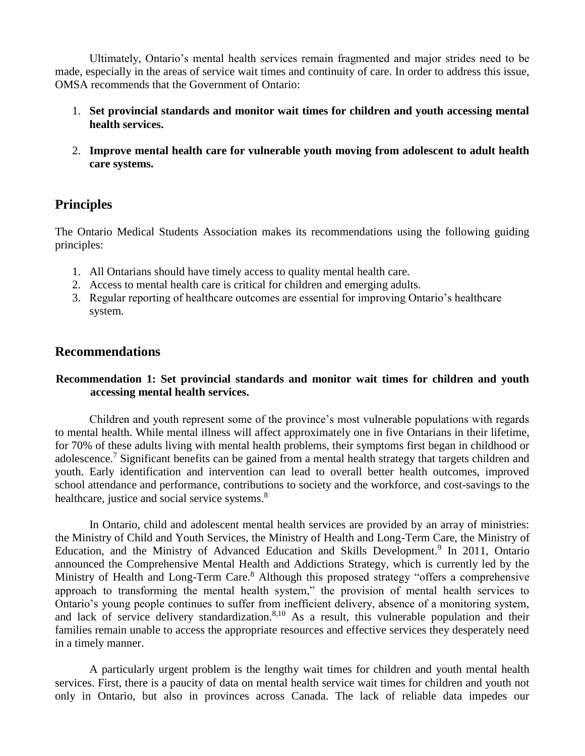Ultimately, Ontario's mental health services remain fragmented and major strides need to be made, especially in the areas of service wait times and continuity of care. In order to address this issue, OMSA recommends that the Government of Ontario:

- 1. **Set provincial standards and monitor wait times for children and youth accessing mental health services.**
- 2. **Improve mental health care for vulnerable youth moving from adolescent to adult health care systems.**

# **Principles**

The Ontario Medical Students Association makes its recommendations using the following guiding principles:

- 1. All Ontarians should have timely access to quality mental health care.
- 2. Access to mental health care is critical for children and emerging adults.
- 3. Regular reporting of healthcare outcomes are essential for improving Ontario's healthcare system.

## **Recommendations**

#### **Recommendation 1: Set provincial standards and monitor wait times for children and youth accessing mental health services.**

Children and youth represent some of the province's most vulnerable populations with regards to mental health. While mental illness will affect approximately one in five Ontarians in their lifetime, for 70% of these adults living with mental health problems, their symptoms first began in childhood or adolescence.<sup>7</sup> Significant benefits can be gained from a mental health strategy that targets children and youth. Early identification and intervention can lead to overall better health outcomes, improved school attendance and performance, contributions to society and the workforce, and cost-savings to the healthcare, justice and social service systems.<sup>8</sup>

In Ontario, child and adolescent mental health services are provided by an array of ministries: the Ministry of Child and Youth Services, the Ministry of Health and Long-Term Care, the Ministry of Education, and the Ministry of Advanced Education and Skills Development.<sup>9</sup> In 2011, Ontario announced the Comprehensive Mental Health and Addictions Strategy, which is currently led by the Ministry of Health and Long-Term Care.<sup>8</sup> Although this proposed strategy "offers a comprehensive approach to transforming the mental health system," the provision of mental health services to Ontario's young people continues to suffer from inefficient delivery, absence of a monitoring system, and lack of service delivery standardization. $8,10$  As a result, this vulnerable population and their families remain unable to access the appropriate resources and effective services they desperately need in a timely manner.

A particularly urgent problem is the lengthy wait times for children and youth mental health services. First, there is a paucity of data on mental health service wait times for children and youth not only in Ontario, but also in provinces across Canada. The lack of reliable data impedes our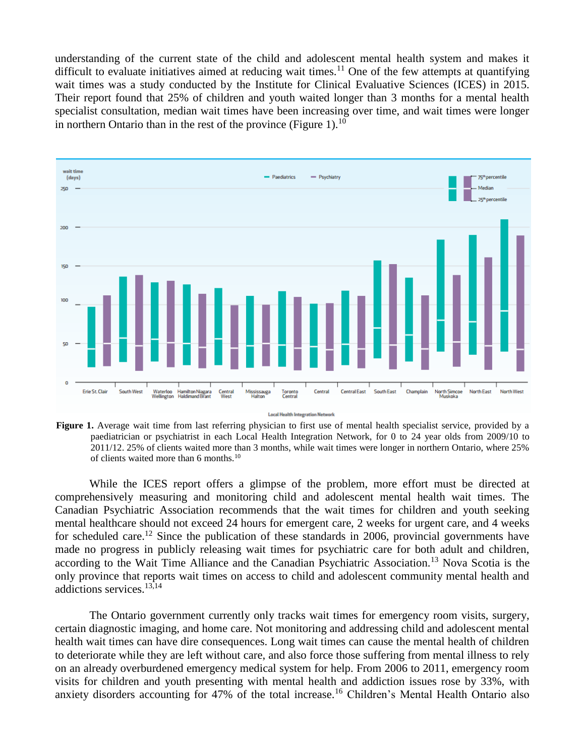understanding of the current state of the child and adolescent mental health system and makes it difficult to evaluate initiatives aimed at reducing wait times.<sup>11</sup> One of the few attempts at quantifying wait times was a study conducted by the Institute for Clinical Evaluative Sciences (ICES) in 2015. Their report found that 25% of children and youth waited longer than 3 months for a mental health specialist consultation, median wait times have been increasing over time, and wait times were longer in northern Ontario than in the rest of the province (Figure 1).<sup>10</sup>



Figure 1. Average wait time from last referring physician to first use of mental health specialist service, provided by a paediatrician or psychiatrist in each Local Health Integration Network, for 0 to 24 year olds from 2009/10 to 2011/12. 25% of clients waited more than 3 months, while wait times were longer in northern Ontario, where 25% of clients waited more than 6 months.<sup>10</sup>

While the ICES report offers a glimpse of the problem, more effort must be directed at comprehensively measuring and monitoring child and adolescent mental health wait times. The Canadian Psychiatric Association recommends that the wait times for children and youth seeking mental healthcare should not exceed 24 hours for emergent care, 2 weeks for urgent care, and 4 weeks for scheduled care.<sup>12</sup> Since the publication of these standards in 2006, provincial governments have made no progress in publicly releasing wait times for psychiatric care for both adult and children, according to the Wait Time Alliance and the Canadian Psychiatric Association.<sup>13</sup> Nova Scotia is the only province that reports wait times on access to child and adolescent community mental health and addictions services.13,14

The Ontario government currently only tracks wait times for emergency room visits, surgery, certain diagnostic imaging, and home care. Not monitoring and addressing child and adolescent mental health wait times can have dire consequences. Long wait times can cause the mental health of children to deteriorate while they are left without care, and also force those suffering from mental illness to rely on an already overburdened emergency medical system for help. From 2006 to 2011, emergency room visits for children and youth presenting with mental health and addiction issues rose by 33%, with anxiety disorders accounting for 47% of the total increase.<sup>16</sup> Children's Mental Health Ontario also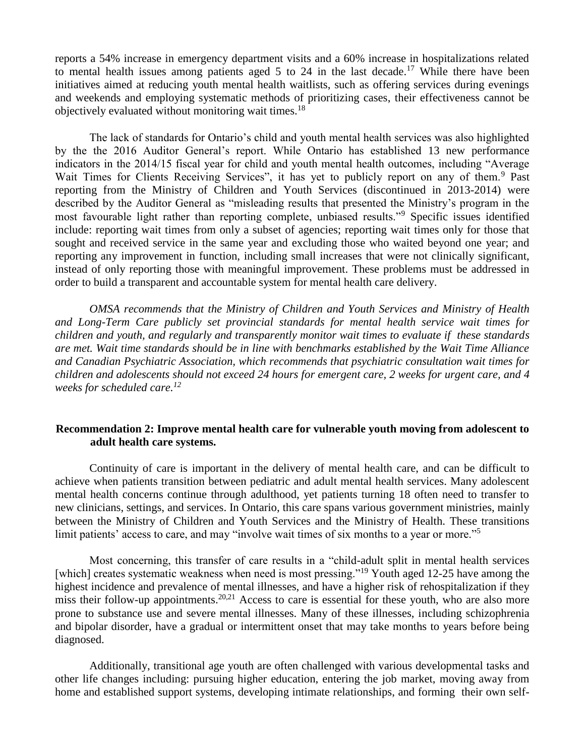reports a 54% increase in emergency department visits and a 60% increase in hospitalizations related to mental health issues among patients aged 5 to 24 in the last decade.<sup>17</sup> While there have been initiatives aimed at reducing youth mental health waitlists, such as offering services during evenings and weekends and employing systematic methods of prioritizing cases, their effectiveness cannot be objectively evaluated without monitoring wait times.<sup>18</sup>

The lack of standards for Ontario's child and youth mental health services was also highlighted by the the 2016 Auditor General's report. While Ontario has established 13 new performance indicators in the 2014/15 fiscal year for child and youth mental health outcomes, including "Average Wait Times for Clients Receiving Services", it has yet to publicly report on any of them.<sup>9</sup> Past reporting from the Ministry of Children and Youth Services (discontinued in 2013-2014) were described by the Auditor General as "misleading results that presented the Ministry's program in the most favourable light rather than reporting complete, unbiased results."<sup>9</sup> Specific issues identified include: reporting wait times from only a subset of agencies; reporting wait times only for those that sought and received service in the same year and excluding those who waited beyond one year; and reporting any improvement in function, including small increases that were not clinically significant, instead of only reporting those with meaningful improvement. These problems must be addressed in order to build a transparent and accountable system for mental health care delivery.

*OMSA recommends that the Ministry of Children and Youth Services and Ministry of Health and Long-Term Care publicly set provincial standards for mental health service wait times for children and youth, and regularly and transparently monitor wait times to evaluate if these standards are met. Wait time standards should be in line with benchmarks established by the Wait Time Alliance and Canadian Psychiatric Association, which recommends that psychiatric consultation wait times for children and adolescents should not exceed 24 hours for emergent care, 2 weeks for urgent care, and 4 weeks for scheduled care.<sup>12</sup>*

#### **Recommendation 2: Improve mental health care for vulnerable youth moving from adolescent to adult health care systems.**

Continuity of care is important in the delivery of mental health care, and can be difficult to achieve when patients transition between pediatric and adult mental health services. Many adolescent mental health concerns continue through adulthood, yet patients turning 18 often need to transfer to new clinicians, settings, and services. In Ontario, this care spans various government ministries, mainly between the Ministry of Children and Youth Services and the Ministry of Health. These transitions limit patients' access to care, and may "involve wait times of six months to a year or more."<sup>5</sup>

Most concerning, this transfer of care results in a "child-adult split in mental health services [which] creates systematic weakness when need is most pressing."<sup>19</sup> Youth aged 12-25 have among the highest incidence and prevalence of mental illnesses, and have a higher risk of rehospitalization if they miss their follow-up appointments.<sup>20,21</sup> Access to care is essential for these youth, who are also more prone to substance use and severe mental illnesses. Many of these illnesses, including schizophrenia and bipolar disorder, have a gradual or intermittent onset that may take months to years before being diagnosed.

Additionally, transitional age youth are often challenged with various developmental tasks and other life changes including: pursuing higher education, entering the job market, moving away from home and established support systems, developing intimate relationships, and forming their own self-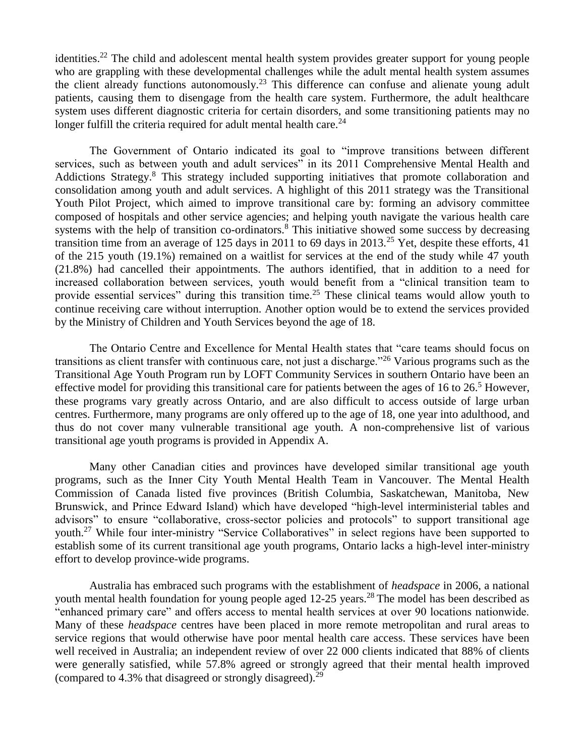identities.<sup>22</sup> The child and adolescent mental health system provides greater support for young people who are grappling with these developmental challenges while the adult mental health system assumes the client already functions autonomously.<sup>23</sup> This difference can confuse and alienate young adult patients, causing them to disengage from the health care system. Furthermore, the adult healthcare system uses different diagnostic criteria for certain disorders, and some transitioning patients may no longer fulfill the criteria required for adult mental health care. $^{24}$ 

The Government of Ontario indicated its goal to "improve transitions between different services, such as between youth and adult services" in its 2011 Comprehensive Mental Health and Addictions Strategy.<sup>8</sup> This strategy included supporting initiatives that promote collaboration and consolidation among youth and adult services. A highlight of this 2011 strategy was the Transitional Youth Pilot Project, which aimed to improve transitional care by: forming an advisory committee composed of hospitals and other service agencies; and helping youth navigate the various health care systems with the help of transition co-ordinators.<sup>8</sup> This initiative showed some success by decreasing transition time from an average of 125 days in 2011 to 69 days in 2013.<sup>25</sup> Yet, despite these efforts, 41 of the 215 youth (19.1%) remained on a waitlist for services at the end of the study while 47 youth (21.8%) had cancelled their appointments. The authors identified, that in addition to a need for increased collaboration between services, youth would benefit from a "clinical transition team to provide essential services" during this transition time.<sup>25</sup> These clinical teams would allow youth to continue receiving care without interruption. Another option would be to extend the services provided by the Ministry of Children and Youth Services beyond the age of 18.

The Ontario Centre and Excellence for Mental Health states that "care teams should focus on transitions as client transfer with continuous care, not just a discharge."<sup>26</sup> Various programs such as the Transitional Age Youth Program run by LOFT Community Services in southern Ontario have been an effective model for providing this transitional care for patients between the ages of 16 to  $26<sup>5</sup>$  However, these programs vary greatly across Ontario, and are also difficult to access outside of large urban centres. Furthermore, many programs are only offered up to the age of 18, one year into adulthood, and thus do not cover many vulnerable transitional age youth. A non-comprehensive list of various transitional age youth programs is provided in Appendix A.

Many other Canadian cities and provinces have developed similar transitional age youth programs, such as the Inner City Youth Mental Health Team in Vancouver. The Mental Health Commission of Canada listed five provinces (British Columbia, Saskatchewan, Manitoba, New Brunswick, and Prince Edward Island) which have developed "high-level interministerial tables and advisors" to ensure "collaborative, cross-sector policies and protocols" to support transitional age youth.<sup>27</sup> While four inter-ministry "Service Collaboratives" in select regions have been supported to establish some of its current transitional age youth programs, Ontario lacks a high-level inter-ministry effort to develop province-wide programs.

Australia has embraced such programs with the establishment of *headspace* in 2006, a national youth mental health foundation for young people aged  $12-25$  years.<sup>28</sup> The model has been described as "enhanced primary care" and offers access to mental health services at over 90 locations nationwide. Many of these *headspace* centres have been placed in more remote metropolitan and rural areas to service regions that would otherwise have poor mental health care access. These services have been well received in Australia; an independent review of over 22 000 clients indicated that 88% of clients were generally satisfied, while 57.8% agreed or strongly agreed that their mental health improved (compared to 4.3% that disagreed or strongly disagreed).<sup>29</sup>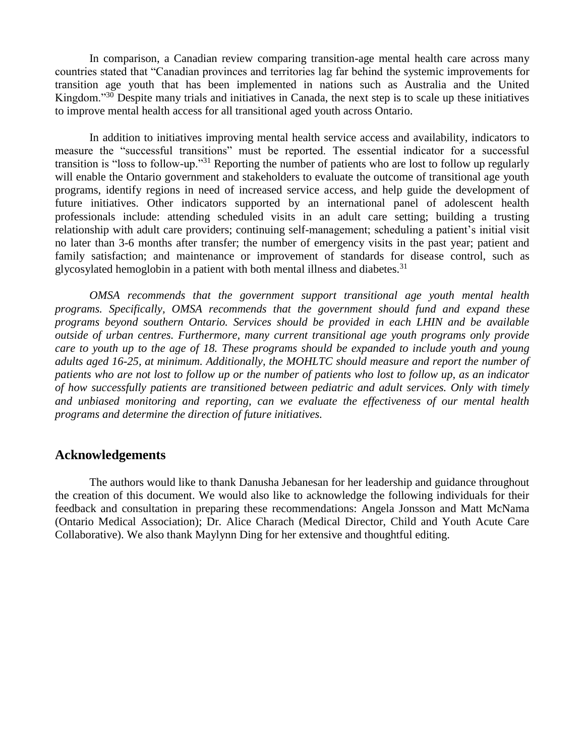In comparison, a Canadian review comparing transition-age mental health care across many countries stated that "Canadian provinces and territories lag far behind the systemic improvements for transition age youth that has been implemented in nations such as Australia and the United Kingdom.<sup>330</sup> Despite many trials and initiatives in Canada, the next step is to scale up these initiatives to improve mental health access for all transitional aged youth across Ontario.

In addition to initiatives improving mental health service access and availability, indicators to measure the "successful transitions" must be reported. The essential indicator for a successful transition is "loss to follow-up."<sup>31</sup> Reporting the number of patients who are lost to follow up regularly will enable the Ontario government and stakeholders to evaluate the outcome of transitional age youth programs, identify regions in need of increased service access, and help guide the development of future initiatives. Other indicators supported by an international panel of adolescent health professionals include: attending scheduled visits in an adult care setting; building a trusting relationship with adult care providers; continuing self-management; scheduling a patient's initial visit no later than 3-6 months after transfer; the number of emergency visits in the past year; patient and family satisfaction; and maintenance or improvement of standards for disease control, such as glycosylated hemoglobin in a patient with both mental illness and diabetes.<sup>31</sup>

*OMSA recommends that the government support transitional age youth mental health programs. Specifically, OMSA recommends that the government should fund and expand these programs beyond southern Ontario. Services should be provided in each LHIN and be available outside of urban centres. Furthermore, many current transitional age youth programs only provide care to youth up to the age of 18. These programs should be expanded to include youth and young adults aged 16-25, at minimum. Additionally, the MOHLTC should measure and report the number of patients who are not lost to follow up or the number of patients who lost to follow up, as an indicator of how successfully patients are transitioned between pediatric and adult services. Only with timely and unbiased monitoring and reporting, can we evaluate the effectiveness of our mental health programs and determine the direction of future initiatives.* 

## **Acknowledgements**

The authors would like to thank Danusha Jebanesan for her leadership and guidance throughout the creation of this document. We would also like to acknowledge the following individuals for their feedback and consultation in preparing these recommendations: Angela Jonsson and Matt McNama (Ontario Medical Association); Dr. Alice Charach (Medical Director, Child and Youth Acute Care Collaborative). We also thank Maylynn Ding for her extensive and thoughtful editing.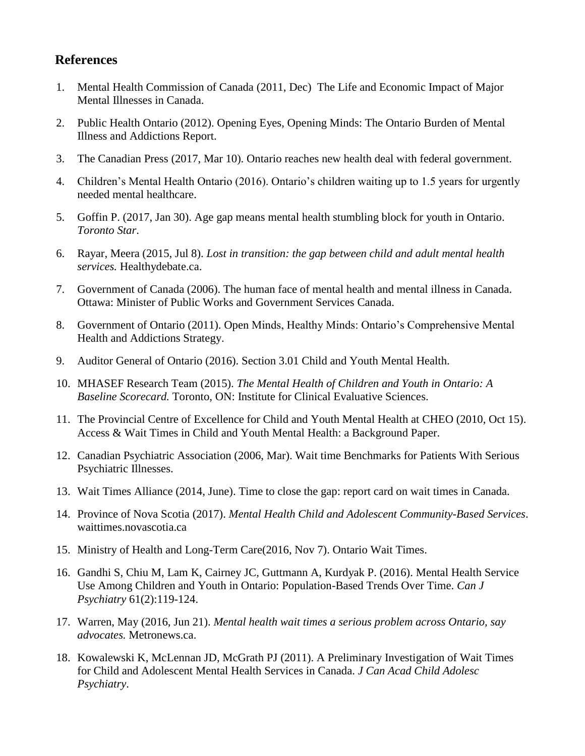# **References**

- 1. [Mental Health Commission of Canada](http://www.mentalhealthcommission.ca/sites/default/files/MHCC_Report_Base_Case_FINAL_ENG_0_0.pdf) [\(2011, Dec\) The Life and Economic Impact of Major](http://www.mentalhealthcommission.ca/sites/default/files/MHCC_Report_Base_Case_FINAL_ENG_0_0.pdf)  [Mental Illnesses in Canada.](http://www.mentalhealthcommission.ca/sites/default/files/MHCC_Report_Base_Case_FINAL_ENG_0_0.pdf)
- 2. [Public Health Ontario \(2012\). Opening Eyes, Opening Minds: The Ontario Burden of Mental](https://www.publichealthontario.ca/en/eRepository/Opening_Eyes_Report_En_2012.pdf)  [Illness and Addictions Report.](https://www.publichealthontario.ca/en/eRepository/Opening_Eyes_Report_En_2012.pdf)
- 3. [The Canadian Press \(2017, Mar 10\). Ontario reaches new health deal with federal government.](http://www.citynews.ca/2017/03/10/1549025/)
- 4. [Children's Mental Health Ontario \(2016\). Ontario's children waiting up to 1.5 years for urgently](https://cmho.org/blog/article2/6519717-ontario-s-children-waiting-up-to-1-5-years-for-urgently-needed-mental-healthcare-3)  [needed mental healthcare.](https://cmho.org/blog/article2/6519717-ontario-s-children-waiting-up-to-1-5-years-for-urgently-needed-mental-healthcare-3)
- 5. [Goffin P. \(2017, Jan 30\). Age gap means mental health stumbling block for youth in Ontario.](https://www.thestar.com/news/gta/2017/01/30/the-struggles-youth-face-when-they-turn-18-but-still-need-mental-health-care.html)  *[Toronto Star](https://www.thestar.com/news/gta/2017/01/30/the-struggles-youth-face-when-they-turn-18-but-still-need-mental-health-care.html)*[.](https://www.thestar.com/news/gta/2017/01/30/the-struggles-youth-face-when-they-turn-18-but-still-need-mental-health-care.html)
- 6. [Rayar, Meera \(2015, Jul 8\).](http://healthydebate.ca/opinyions/mental-health-transitions) *[Lost in transition: the gap between child and adult mental health](http://healthydebate.ca/opinyions/mental-health-transitions)  [services.](http://healthydebate.ca/opinyions/mental-health-transitions)* [Healthydebate.ca.](http://healthydebate.ca/opinyions/mental-health-transitions)
- 7. [Government of Canada \(2006\). The human face of mental health and mental illness in Canada.](http://www.phac-aspc.gc.ca/publicat/human-humain06/pdf/human_face_e.pdf)  [Ottawa: Minister of Public Works and Government Services Canada.](http://www.phac-aspc.gc.ca/publicat/human-humain06/pdf/human_face_e.pdf)
- 8. [Government of Ontario \(2011\). Open Minds, Healthy Minds: Ontario's Comprehensive Mental](http://www.health.gov.on.ca/en/common/ministry/publications/reports/mental_health2011/mentalhealth_rep2011.pdf)  [Health and Addictions Strategy.](http://www.health.gov.on.ca/en/common/ministry/publications/reports/mental_health2011/mentalhealth_rep2011.pdf)
- 9. [Auditor General of Ontario \(2016\). Section 3.01 Child and Youth Mental](http://www.auditor.on.ca/en/content/annualreports/arreports/en16/v1_301en16.pdf) Health.
- 10. [MHASEF Research Team \(2015\).](http://www.ices.on.ca/Publications/Atlases-and-Reports/2015/Mental-Health-of-Children-and-Youth) *[The Mental Health of Children and Youth in Ontario: A](http://www.ices.on.ca/Publications/Atlases-and-Reports/2015/Mental-Health-of-Children-and-Youth)  [Baseline Scorecard.](http://www.ices.on.ca/Publications/Atlases-and-Reports/2015/Mental-Health-of-Children-and-Youth)* [Toronto, ON: Institute for Clinical Evaluative Sciences.](http://www.ices.on.ca/Publications/Atlases-and-Reports/2015/Mental-Health-of-Children-and-Youth)
- 11. [The Provincial Centre of Excellence for Child and Youth Mental Health at CHEO \(2010, Oct 15\).](http://www.excellenceforchildandyouth.ca/sites/default/files/policy_access_and_wait_times.pdf)  [Access & Wait Times in Child and Youth Mental Health: a Background Paper.](http://www.excellenceforchildandyouth.ca/sites/default/files/policy_access_and_wait_times.pdf)
- 12. [Canadian Psychiatric Association \(2006, Mar\). Wait time Benchmarks for Patients With Serious](http://www.waittimealliance.ca/wp-content/uploads/2014/05/Psychiatric_CarePolicy_Paper.pdf)  [Psychiatric Illnesses.](http://www.waittimealliance.ca/wp-content/uploads/2014/05/Psychiatric_CarePolicy_Paper.pdf)
- 13. [Wait Times Alliance \(2014, June\). Time to close the gap: report card on wait times in Canada.](http://www.waittimealliance.ca/wp-content/uploads/2014/06/FINAL-EN-WTA-Report-Card.pdf)
- 14. [Province of Nova Scotia \(2017\).](https://waittimes.novascotia.ca/procedure/mental-health-child-and-adolescent-community-based-services) *[Mental Health Child and Adolescent Community-Based Services](https://waittimes.novascotia.ca/procedure/mental-health-child-and-adolescent-community-based-services)*[.](https://waittimes.novascotia.ca/procedure/mental-health-child-and-adolescent-community-based-services)  [waittimes.novascotia.ca](https://waittimes.novascotia.ca/procedure/mental-health-child-and-adolescent-community-based-services)
- 15. [Ministry of Health and Long-Term Care\(2016, Nov 7\). Ontario Wait Times.](http://www.health.gov.on.ca/en/public/programs/waittimes/)
- 16. [Gandhi S, Chiu M, Lam K, Cairney JC, Guttmann A, Kurdyak P. \(2016\). Mental Health Service](https://www.ncbi.nlm.nih.gov/pubmed/?term=Kurdyak+emergency+feb+2)  Use Among [Children and Youth in Ontario: Population-Based Trends Over Time.](https://www.ncbi.nlm.nih.gov/pubmed/?term=Kurdyak+emergency+feb+2) *[Can J](https://www.ncbi.nlm.nih.gov/pubmed/?term=Kurdyak+emergency+feb+2)  [Psychiatry](https://www.ncbi.nlm.nih.gov/pubmed/?term=Kurdyak+emergency+feb+2)* [61\(2\):119-124.](https://www.ncbi.nlm.nih.gov/pubmed/?term=Kurdyak+emergency+feb+2)
- 17. [Warren, May \(2016, Jun 21\).](http://www.metronews.ca/news/toronto/2016/06/21/mental-health-wait-times-not-just-a-problem-in-small-communities.html) *[Mental health wait times a serious problem across Ontario, say](http://www.metronews.ca/news/toronto/2016/06/21/mental-health-wait-times-not-just-a-problem-in-small-communities.html)  [advocates.](http://www.metronews.ca/news/toronto/2016/06/21/mental-health-wait-times-not-just-a-problem-in-small-communities.html)* [Metronews.ca.](http://www.metronews.ca/news/toronto/2016/06/21/mental-health-wait-times-not-just-a-problem-in-small-communities.html)
- 18. [Kowalewski K, McLennan JD, McGrath PJ \(2011\). A Preliminary Investigation of Wait Times](https://www.ncbi.nlm.nih.gov/pmc/articles/PMC3085670/)  [for Child and Adolescent Mental Health Services in Canada.](https://www.ncbi.nlm.nih.gov/pmc/articles/PMC3085670/) *[J Can Acad Child Adolesc](https://www.ncbi.nlm.nih.gov/pmc/articles/PMC3085670/)  [Psychiatry](https://www.ncbi.nlm.nih.gov/pmc/articles/PMC3085670/)*[.](https://www.ncbi.nlm.nih.gov/pmc/articles/PMC3085670/)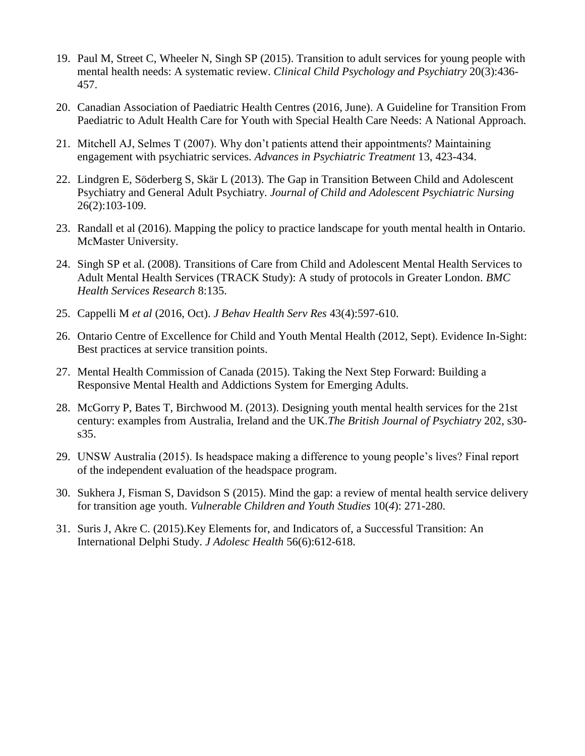- 19. [Paul M, Street C, Wheeler N, Singh SP \(2015\). Transition to adult services for young people with](http://journals.sagepub.com/doi/pdf/10.1177/1359104514526603)  [mental health needs: A systematic review.](http://journals.sagepub.com/doi/pdf/10.1177/1359104514526603) *[Clinical Child Psychology and Psychiatry](http://journals.sagepub.com/doi/pdf/10.1177/1359104514526603)* [20\(3\):436-](http://journals.sagepub.com/doi/pdf/10.1177/1359104514526603) [457.](http://journals.sagepub.com/doi/pdf/10.1177/1359104514526603)
- 20. [Canadian Association of Paediatric Health Centres \(2016, June\). A Guideline for Transition From](http://www.cheo.on.ca/uploads/Transition%20Program/2016%2006%2029%20%20CAPHC%20Transition%20YSHCN%20Guideline.pdf)  [Paediatric to Adult Health Care for Youth with Special Health Care Needs: A National Approach.](http://www.cheo.on.ca/uploads/Transition%20Program/2016%2006%2029%20%20CAPHC%20Transition%20YSHCN%20Guideline.pdf)
- 21. [Mitchell AJ, Selmes T \(2007\). Why don't patients attend their appointments? Maintaining](http://apt.rcpsych.org/content/aptrcpsych/13/6/423.full.pdf)  [engagement with psychiatric services.](http://apt.rcpsych.org/content/aptrcpsych/13/6/423.full.pdf) *[Advances in Psychiatric Treatment](http://apt.rcpsych.org/content/aptrcpsych/13/6/423.full.pdf)* [13, 423-434.](http://apt.rcpsych.org/content/aptrcpsych/13/6/423.full.pdf)
- 22. [Lindgren E, Söderberg S, Skär L \(2013\). The Gap in Transition Between Child and Adolescent](http://onlinelibrary.wiley.com/wol1/doi/10.1111/jcap.12027/full)  [Psychiatry and General Adult Psychiatry.](http://onlinelibrary.wiley.com/wol1/doi/10.1111/jcap.12027/full) *[Journal of Child and Adolescent Psychiatric Nursing](http://onlinelibrary.wiley.com/wol1/doi/10.1111/jcap.12027/full)*  [26\(2\):103-109.](http://onlinelibrary.wiley.com/wol1/doi/10.1111/jcap.12027/full)
- 23. [Randall et al \(2016\). Mapping the policy to practice landscape for youth mental health in Ontario.](http://youthtransitions.degroote.mcmaster.ca/wp-content/themes/y2a/files/Transitions_Report.pdf)  [McMaster University.](http://youthtransitions.degroote.mcmaster.ca/wp-content/themes/y2a/files/Transitions_Report.pdf)
- 24. [Singh SP et al. \(2008\). Transitions of Care from Child and Adolescent Mental Health Services to](http://bmchealthservres.biomedcentral.com/articles/10.1186/1472-6963-8-135)  [Adult Mental Health Services \(TRACK Study\): A study of protocols in Greater London.](http://bmchealthservres.biomedcentral.com/articles/10.1186/1472-6963-8-135) *[BMC](http://bmchealthservres.biomedcentral.com/articles/10.1186/1472-6963-8-135)  [Health Services Research](http://bmchealthservres.biomedcentral.com/articles/10.1186/1472-6963-8-135)* [8:135.](http://bmchealthservres.biomedcentral.com/articles/10.1186/1472-6963-8-135)
- 25. [Cappelli M](https://www.ncbi.nlm.nih.gov/pubmed/25292462) *[et al](https://www.ncbi.nlm.nih.gov/pubmed/25292462)* [\(2016, Oct\).](https://www.ncbi.nlm.nih.gov/pubmed/25292462) *[J Behav Health Serv Res](https://www.ncbi.nlm.nih.gov/pubmed/25292462)* [43\(4\):597-610.](https://www.ncbi.nlm.nih.gov/pubmed/25292462)
- 26. [Ontario Centre of Excellence for Child and Youth Mental Health \(2012, Sept\). Evidence In-Sight:](http://www.excellenceforchildandyouth.ca/sites/default/files/eib_attach/ServiceTransitions_FINAL_REPORT_(E).pdf)  [Best practices at service transition points.](http://www.excellenceforchildandyouth.ca/sites/default/files/eib_attach/ServiceTransitions_FINAL_REPORT_(E).pdf)
- 27. [Mental Health Commission of Canada \(2015\). Taking the Next Step Forward: Building a](http://www.mentalhealthcommission.ca/sites/default/files/Taking%252520the%252520Next%252520Step%252520Forward_0.pdf)  [Responsive Mental Health and Addictions System for Emerging Adults.](http://www.mentalhealthcommission.ca/sites/default/files/Taking%252520the%252520Next%252520Step%252520Forward_0.pdf)
- 28. [McGorry P, Bates T, Birchwood M. \(2013\). Designing youth mental health services for the 21st](http://bjp.rcpsych.org/content/bjprcpsych/202/s54/s30.full.pdf)  [century: examples from Australia, Ireland and the UK.](http://bjp.rcpsych.org/content/bjprcpsych/202/s54/s30.full.pdf)*[The British Journal of Psychiatry](http://bjp.rcpsych.org/content/bjprcpsych/202/s54/s30.full.pdf)* [202, s30](http://bjp.rcpsych.org/content/bjprcpsych/202/s54/s30.full.pdf) [s35.](http://bjp.rcpsych.org/content/bjprcpsych/202/s54/s30.full.pdf)
- 29. [UNSW Australia \(2015\). Is headspace making a difference to young people's lives? Final report](https://www.headspace.org.au/assets/Uploads/Evaluation-of-headspace-program.pdf)  [of the independent evaluation of the headspace program.](https://www.headspace.org.au/assets/Uploads/Evaluation-of-headspace-program.pdf)
- 30. [Sukhera J, Fisman S, Davidson S \(2015\). Mind the gap: a review of mental health service delivery](http://www.tandfonline.com/doi/pdf/10.1080/17450128.2015.1080393?needAccess=true)  [for transition age youth.](http://www.tandfonline.com/doi/pdf/10.1080/17450128.2015.1080393?needAccess=true) *[Vulnerable Children and Youth Studies](http://www.tandfonline.com/doi/pdf/10.1080/17450128.2015.1080393?needAccess=true)* [10\(](http://www.tandfonline.com/doi/pdf/10.1080/17450128.2015.1080393?needAccess=true)*[4](http://www.tandfonline.com/doi/pdf/10.1080/17450128.2015.1080393?needAccess=true)*[\): 271-280.](http://www.tandfonline.com/doi/pdf/10.1080/17450128.2015.1080393?needAccess=true)
- 31. Suris J, Akre C. (2015).Key Elements [for, and Indicators of, a Successful Transition: An](https://www.ncbi.nlm.nih.gov/pubmed/26003575)  [International Delphi Study.](https://www.ncbi.nlm.nih.gov/pubmed/26003575) *[J Adolesc Health](https://www.ncbi.nlm.nih.gov/pubmed/26003575)* [56\(6\):612-618.](https://www.ncbi.nlm.nih.gov/pubmed/26003575)